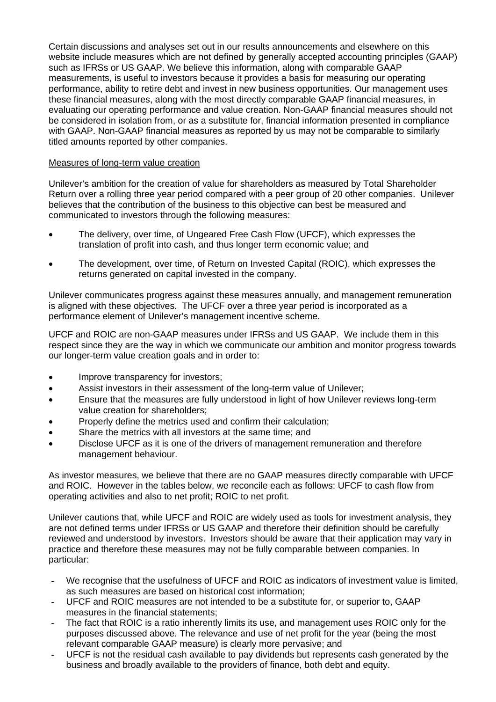Certain discussions and analyses set out in our results announcements and elsewhere on this website include measures which are not defined by generally accepted accounting principles (GAAP) such as IFRSs or US GAAP. We believe this information, along with comparable GAAP measurements, is useful to investors because it provides a basis for measuring our operating performance, ability to retire debt and invest in new business opportunities. Our management uses these financial measures, along with the most directly comparable GAAP financial measures, in evaluating our operating performance and value creation. Non-GAAP financial measures should not be considered in isolation from, or as a substitute for, financial information presented in compliance with GAAP. Non-GAAP financial measures as reported by us may not be comparable to similarly titled amounts reported by other companies.

## Measures of long-term value creation

Unilever's ambition for the creation of value for shareholders as measured by Total Shareholder Return over a rolling three year period compared with a peer group of 20 other companies. Unilever believes that the contribution of the business to this objective can best be measured and communicated to investors through the following measures:

- The delivery, over time, of Ungeared Free Cash Flow (UFCF), which expresses the translation of profit into cash, and thus longer term economic value; and
- The development, over time, of Return on Invested Capital (ROIC), which expresses the returns generated on capital invested in the company.

Unilever communicates progress against these measures annually, and management remuneration is aligned with these objectives. The UFCF over a three year period is incorporated as a performance element of Unilever's management incentive scheme.

UFCF and ROIC are non-GAAP measures under IFRSs and US GAAP. We include them in this respect since they are the way in which we communicate our ambition and monitor progress towards our longer-term value creation goals and in order to:

- Improve transparency for investors;
- Assist investors in their assessment of the long-term value of Unilever:
- Ensure that the measures are fully understood in light of how Unilever reviews long-term value creation for shareholders;
- Properly define the metrics used and confirm their calculation;
- Share the metrics with all investors at the same time; and
- Disclose UFCF as it is one of the drivers of management remuneration and therefore management behaviour.

As investor measures, we believe that there are no GAAP measures directly comparable with UFCF and ROIC. However in the tables below, we reconcile each as follows: UFCF to cash flow from operating activities and also to net profit; ROIC to net profit.

Unilever cautions that, while UFCF and ROIC are widely used as tools for investment analysis, they are not defined terms under IFRSs or US GAAP and therefore their definition should be carefully reviewed and understood by investors. Investors should be aware that their application may vary in practice and therefore these measures may not be fully comparable between companies. In particular:

- We recognise that the usefulness of UFCF and ROIC as indicators of investment value is limited, as such measures are based on historical cost information;
- UFCF and ROIC measures are not intended to be a substitute for, or superior to, GAAP measures in the financial statements;
- The fact that ROIC is a ratio inherently limits its use, and management uses ROIC only for the purposes discussed above. The relevance and use of net profit for the year (being the most relevant comparable GAAP measure) is clearly more pervasive; and
- UFCF is not the residual cash available to pay dividends but represents cash generated by the business and broadly available to the providers of finance, both debt and equity.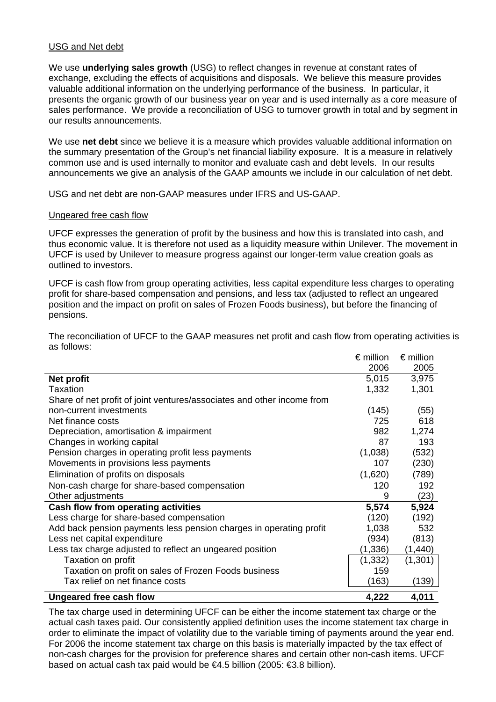## USG and Net debt

We use **underlying sales growth** (USG) to reflect changes in revenue at constant rates of exchange, excluding the effects of acquisitions and disposals. We believe this measure provides valuable additional information on the underlying performance of the business. In particular, it presents the organic growth of our business year on year and is used internally as a core measure of sales performance. We provide a reconciliation of USG to turnover growth in total and by segment in our results announcements.

We use **net debt** since we believe it is a measure which provides valuable additional information on the summary presentation of the Group's net financial liability exposure. It is a measure in relatively common use and is used internally to monitor and evaluate cash and debt levels. In our results announcements we give an analysis of the GAAP amounts we include in our calculation of net debt.

USG and net debt are non-GAAP measures under IFRS and US-GAAP.

## Ungeared free cash flow

UFCF expresses the generation of profit by the business and how this is translated into cash, and thus economic value. It is therefore not used as a liquidity measure within Unilever. The movement in UFCF is used by Unilever to measure progress against our longer-term value creation goals as outlined to investors.

UFCF is cash flow from group operating activities, less capital expenditure less charges to operating profit for share-based compensation and pensions, and less tax (adjusted to reflect an ungeared position and the impact on profit on sales of Frozen Foods business), but before the financing of pensions.

|                                                                        | $\epsilon$ million | $\epsilon$ million |
|------------------------------------------------------------------------|--------------------|--------------------|
|                                                                        | 2006               | 2005               |
| Net profit                                                             | 5,015              | 3,975              |
| Taxation                                                               | 1,332              | 1,301              |
| Share of net profit of joint ventures/associates and other income from |                    |                    |
| non-current investments                                                | (145)              | (55)               |
| Net finance costs                                                      | 725                | 618                |
| Depreciation, amortisation & impairment                                | 982                | 1,274              |
| Changes in working capital                                             | 87                 | 193                |
| Pension charges in operating profit less payments                      | (1,038)            | (532)              |
| Movements in provisions less payments                                  | 107                | (230)              |
| Elimination of profits on disposals                                    | (1,620)            | (789)              |
| Non-cash charge for share-based compensation                           | 120                | 192                |
| Other adjustments                                                      | 9                  | (23)               |
| Cash flow from operating activities                                    | 5,574              | 5,924              |
| Less charge for share-based compensation                               | (120)              | (192)              |
| Add back pension payments less pension charges in operating profit     | 1,038              | 532                |
| Less net capital expenditure                                           | (934)              | (813)              |
| Less tax charge adjusted to reflect an ungeared position               | (1, 336)           | (1, 440)           |
| Taxation on profit                                                     | (1, 332)           | (1,301)            |
| Taxation on profit on sales of Frozen Foods business                   | 159                |                    |
| Tax relief on net finance costs                                        | (163)              | (139)              |
| Ungeared free cash flow                                                | 4,222              | 4,011              |

The reconciliation of UFCF to the GAAP measures net profit and cash flow from operating activities is as follows:

The tax charge used in determining UFCF can be either the income statement tax charge or the actual cash taxes paid. Our consistently applied definition uses the income statement tax charge in order to eliminate the impact of volatility due to the variable timing of payments around the year end. For 2006 the income statement tax charge on this basis is materially impacted by the tax effect of non-cash charges for the provision for preference shares and certain other non-cash items. UFCF based on actual cash tax paid would be €4.5 billion (2005: €3.8 billion).